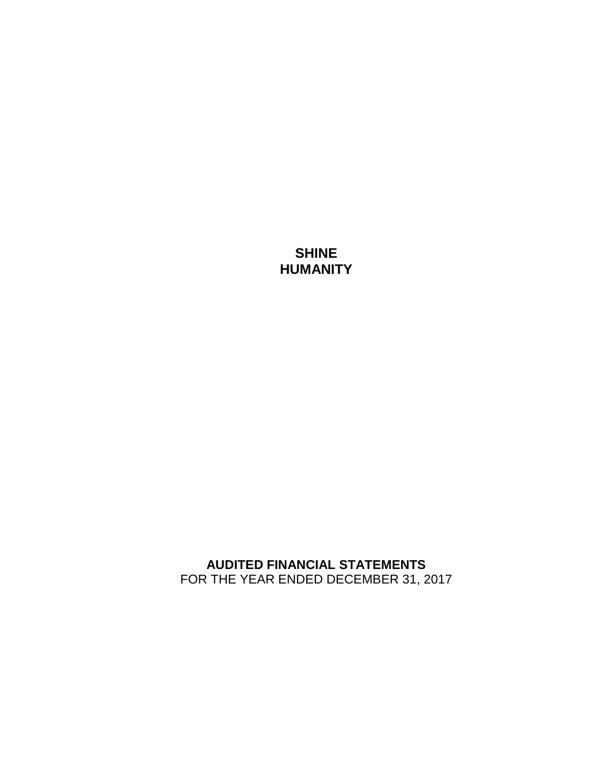# **SHINE HUMANITY**

## **AUDITED FINANCIAL STATEMENTS** FOR THE YEAR ENDED DECEMBER 31, 2017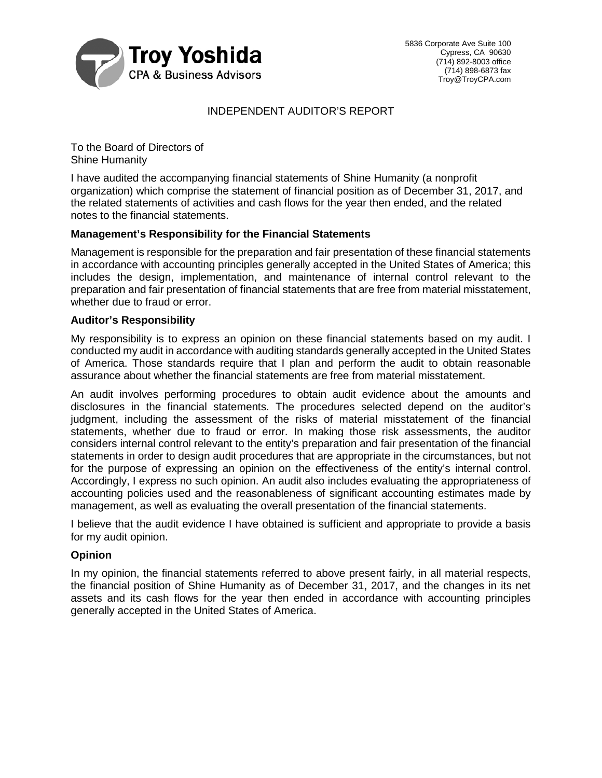

## INDEPENDENT AUDITOR'S REPORT

To the Board of Directors of Shine Humanity

I have audited the accompanying financial statements of Shine Humanity (a nonprofit organization) which comprise the statement of financial position as of December 31, 2017, and the related statements of activities and cash flows for the year then ended, and the related notes to the financial statements.

## **Management's Responsibility for the Financial Statements**

Management is responsible for the preparation and fair presentation of these financial statements in accordance with accounting principles generally accepted in the United States of America; this includes the design, implementation, and maintenance of internal control relevant to the preparation and fair presentation of financial statements that are free from material misstatement, whether due to fraud or error.

### **Auditor's Responsibility**

My responsibility is to express an opinion on these financial statements based on my audit. I conducted my audit in accordance with auditing standards generally accepted in the United States of America. Those standards require that I plan and perform the audit to obtain reasonable assurance about whether the financial statements are free from material misstatement.

An audit involves performing procedures to obtain audit evidence about the amounts and disclosures in the financial statements. The procedures selected depend on the auditor's judgment, including the assessment of the risks of material misstatement of the financial statements, whether due to fraud or error. In making those risk assessments, the auditor considers internal control relevant to the entity's preparation and fair presentation of the financial statements in order to design audit procedures that are appropriate in the circumstances, but not for the purpose of expressing an opinion on the effectiveness of the entity's internal control. Accordingly, I express no such opinion. An audit also includes evaluating the appropriateness of accounting policies used and the reasonableness of significant accounting estimates made by management, as well as evaluating the overall presentation of the financial statements.

I believe that the audit evidence I have obtained is sufficient and appropriate to provide a basis for my audit opinion.

### **Opinion**

In my opinion, the financial statements referred to above present fairly, in all material respects, the financial position of Shine Humanity as of December 31, 2017, and the changes in its net assets and its cash flows for the year then ended in accordance with accounting principles generally accepted in the United States of America.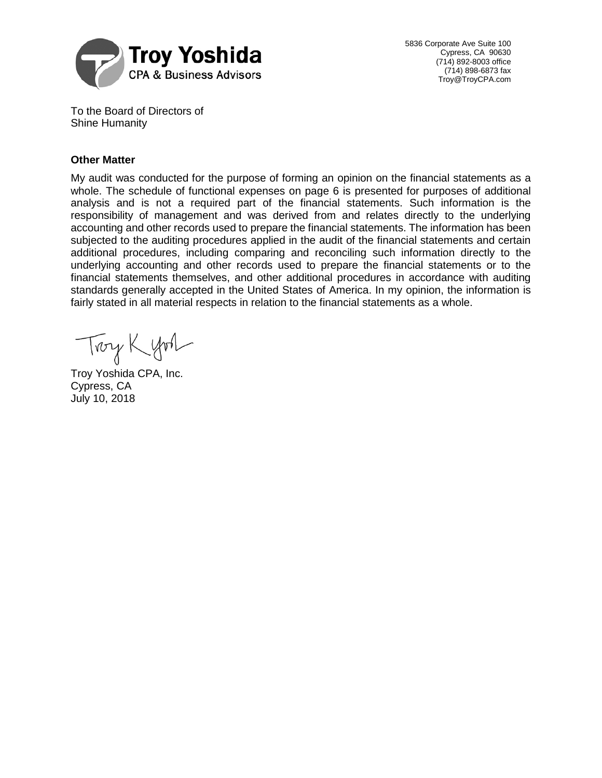

5836 Corporate Ave Suite 100 Cypress, CA 90630 (714) 892-8003 office (714) 898-6873 fax Troy@TroyCPA.com

To the Board of Directors of Shine Humanity

## **Other Matter**

My audit was conducted for the purpose of forming an opinion on the financial statements as a whole. The schedule of functional expenses on page 6 is presented for purposes of additional analysis and is not a required part of the financial statements. Such information is the responsibility of management and was derived from and relates directly to the underlying accounting and other records used to prepare the financial statements. The information has been subjected to the auditing procedures applied in the audit of the financial statements and certain additional procedures, including comparing and reconciling such information directly to the underlying accounting and other records used to prepare the financial statements or to the financial statements themselves, and other additional procedures in accordance with auditing standards generally accepted in the United States of America. In my opinion, the information is fairly stated in all material respects in relation to the financial statements as a whole.

Troy Kyon

Troy Yoshida CPA, Inc. Cypress, CA July 10, 2018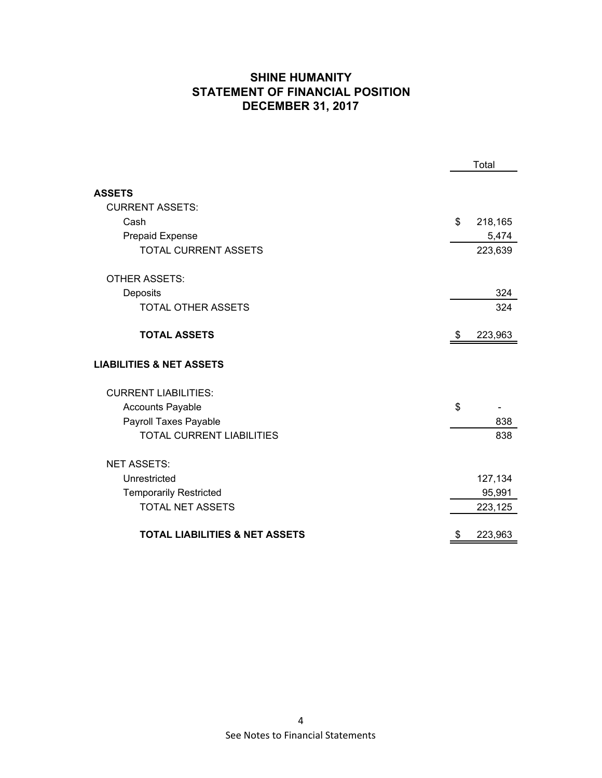## **SHINE HUMANITY STATEMENT OF FINANCIAL POSITION DECEMBER 31, 2017**

|                                           |    | Total   |  |
|-------------------------------------------|----|---------|--|
|                                           |    |         |  |
| <b>ASSETS</b>                             |    |         |  |
| <b>CURRENT ASSETS:</b>                    |    |         |  |
| Cash                                      | \$ | 218,165 |  |
| <b>Prepaid Expense</b>                    |    | 5,474   |  |
| <b>TOTAL CURRENT ASSETS</b>               |    | 223,639 |  |
| <b>OTHER ASSETS:</b>                      |    |         |  |
| Deposits                                  |    | 324     |  |
| <b>TOTAL OTHER ASSETS</b>                 |    | 324     |  |
| <b>TOTAL ASSETS</b>                       | S. | 223,963 |  |
| <b>LIABILITIES &amp; NET ASSETS</b>       |    |         |  |
| <b>CURRENT LIABILITIES:</b>               |    |         |  |
| <b>Accounts Payable</b>                   | \$ |         |  |
| Payroll Taxes Payable                     |    | 838     |  |
| <b>TOTAL CURRENT LIABILITIES</b>          |    | 838     |  |
| <b>NET ASSETS:</b>                        |    |         |  |
| Unrestricted                              |    | 127,134 |  |
| <b>Temporarily Restricted</b>             |    | 95,991  |  |
| <b>TOTAL NET ASSETS</b>                   |    | 223,125 |  |
| <b>TOTAL LIABILITIES &amp; NET ASSETS</b> | \$ | 223,963 |  |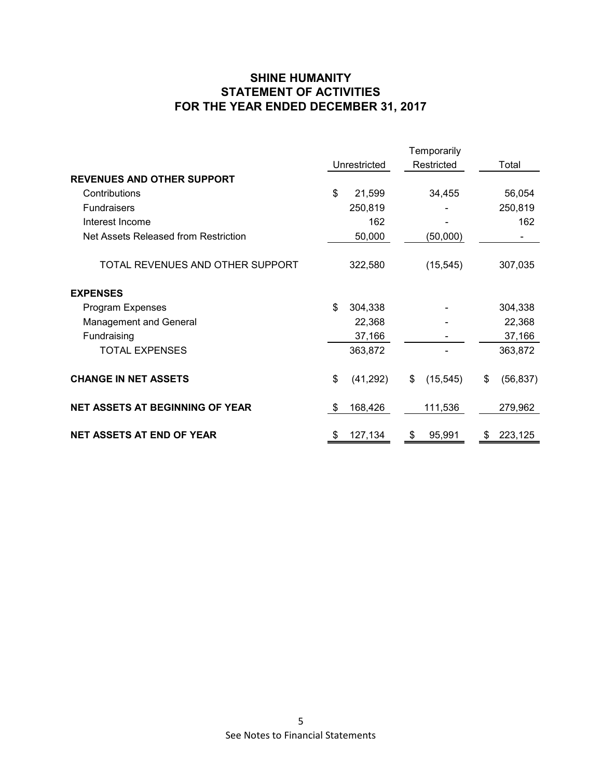## **SHINE HUMANITY STATEMENT OF ACTIVITIES FOR THE YEAR ENDED DECEMBER 31, 2017**

|                                        | Temporarily  |           |    |            |    |           |  |
|----------------------------------------|--------------|-----------|----|------------|----|-----------|--|
|                                        | Unrestricted |           |    | Restricted |    | Total     |  |
| <b>REVENUES AND OTHER SUPPORT</b>      |              |           |    |            |    |           |  |
| Contributions                          | \$           | 21,599    |    | 34,455     |    | 56,054    |  |
| <b>Fundraisers</b>                     |              | 250,819   |    |            |    | 250,819   |  |
| Interest Income                        |              | 162       |    |            |    | 162       |  |
| Net Assets Released from Restriction   |              | 50,000    |    | (50,000)   |    |           |  |
| TOTAL REVENUES AND OTHER SUPPORT       |              | 322,580   |    | (15, 545)  |    | 307,035   |  |
| <b>EXPENSES</b>                        |              |           |    |            |    |           |  |
| Program Expenses                       | \$           | 304,338   |    |            |    | 304,338   |  |
| <b>Management and General</b>          |              | 22,368    |    |            |    | 22,368    |  |
| Fundraising                            |              | 37,166    |    |            |    | 37,166    |  |
| <b>TOTAL EXPENSES</b>                  |              | 363,872   |    |            |    | 363,872   |  |
| <b>CHANGE IN NET ASSETS</b>            | \$           | (41, 292) | \$ | (15, 545)  | \$ | (56, 837) |  |
| <b>NET ASSETS AT BEGINNING OF YEAR</b> | \$           | 168,426   |    | 111,536    |    | 279,962   |  |
| <b>NET ASSETS AT END OF YEAR</b>       | \$           | 127,134   | \$ | 95,991     | \$ | 223,125   |  |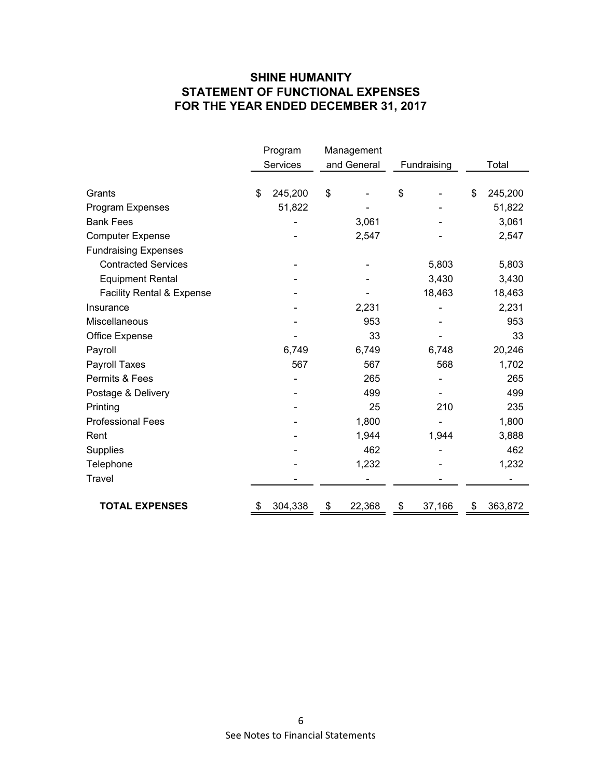## **SHINE HUMANITY STATEMENT OF FUNCTIONAL EXPENSES FOR THE YEAR ENDED DECEMBER 31, 2017**

|                                      | Program       | Management   |              |               |
|--------------------------------------|---------------|--------------|--------------|---------------|
|                                      | Services      | and General  | Fundraising  | Total         |
|                                      |               |              |              |               |
| Grants                               | \$<br>245,200 | \$           | \$           | \$<br>245,200 |
| Program Expenses                     | 51,822        |              |              | 51,822        |
| <b>Bank Fees</b>                     |               | 3,061        |              | 3,061         |
| <b>Computer Expense</b>              |               | 2,547        |              | 2,547         |
| <b>Fundraising Expenses</b>          |               |              |              |               |
| <b>Contracted Services</b>           |               |              | 5,803        | 5,803         |
| <b>Equipment Rental</b>              |               |              | 3,430        | 3,430         |
| <b>Facility Rental &amp; Expense</b> |               |              | 18,463       | 18,463        |
| Insurance                            |               | 2,231        |              | 2,231         |
| Miscellaneous                        |               | 953          |              | 953           |
| Office Expense                       |               | 33           |              | 33            |
| Payroll                              | 6,749         | 6,749        | 6,748        | 20,246        |
| Payroll Taxes                        | 567           | 567          | 568          | 1,702         |
| Permits & Fees                       |               | 265          |              | 265           |
| Postage & Delivery                   |               | 499          |              | 499           |
| Printing                             |               | 25           | 210          | 235           |
| <b>Professional Fees</b>             |               | 1,800        |              | 1,800         |
| Rent                                 |               | 1,944        | 1,944        | 3,888         |
| <b>Supplies</b>                      |               | 462          |              | 462           |
| Telephone                            |               | 1,232        |              | 1,232         |
| Travel                               |               |              |              |               |
|                                      |               |              |              |               |
| <b>TOTAL EXPENSES</b>                | 304,338       | \$<br>22,368 | \$<br>37,166 | \$<br>363,872 |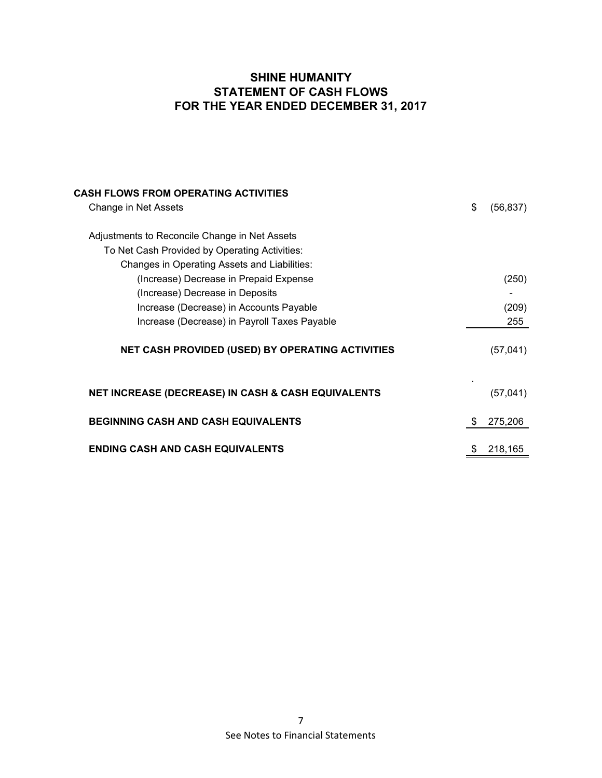## **SHINE HUMANITY STATEMENT OF CASH FLOWS FOR THE YEAR ENDED DECEMBER 31, 2017**

| <b>CASH FLOWS FROM OPERATING ACTIVITIES</b>                   |    |           |
|---------------------------------------------------------------|----|-----------|
| Change in Net Assets                                          | \$ | (56, 837) |
| Adjustments to Reconcile Change in Net Assets                 |    |           |
| To Net Cash Provided by Operating Activities:                 |    |           |
| Changes in Operating Assets and Liabilities:                  |    |           |
| (Increase) Decrease in Prepaid Expense                        |    | (250)     |
| (Increase) Decrease in Deposits                               |    |           |
| Increase (Decrease) in Accounts Payable                       |    | (209)     |
| Increase (Decrease) in Payroll Taxes Payable                  |    | 255       |
| <b>NET CASH PROVIDED (USED) BY OPERATING ACTIVITIES</b>       |    | (57, 041) |
| <b>NET INCREASE (DECREASE) IN CASH &amp; CASH EQUIVALENTS</b> |    | (57, 041) |
| <b>BEGINNING CASH AND CASH EQUIVALENTS</b>                    | S  | 275,206   |
| <b>ENDING CASH AND CASH EQUIVALENTS</b>                       |    | 218,165   |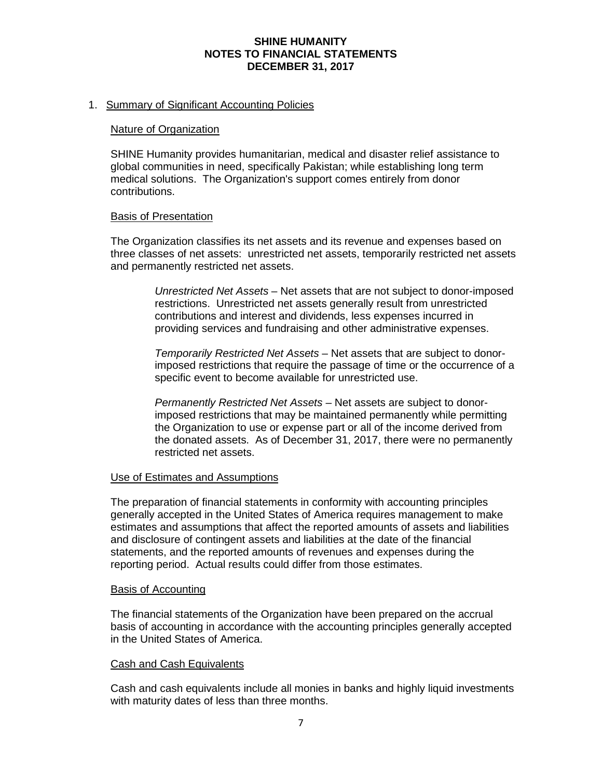## **SHINE HUMANITY NOTES TO FINANCIAL STATEMENTS DECEMBER 31, 2017**

## 1. Summary of Significant Accounting Policies

#### Nature of Organization

SHINE Humanity provides humanitarian, medical and disaster relief assistance to global communities in need, specifically Pakistan; while establishing long term medical solutions. The Organization's support comes entirely from donor contributions.

#### Basis of Presentation

The Organization classifies its net assets and its revenue and expenses based on three classes of net assets: unrestricted net assets, temporarily restricted net assets and permanently restricted net assets.

> *Unrestricted Net Assets* – Net assets that are not subject to donor-imposed restrictions. Unrestricted net assets generally result from unrestricted contributions and interest and dividends, less expenses incurred in providing services and fundraising and other administrative expenses.

> *Temporarily Restricted Net Assets* – Net assets that are subject to donorimposed restrictions that require the passage of time or the occurrence of a specific event to become available for unrestricted use.

> *Permanently Restricted Net Assets* – Net assets are subject to donorimposed restrictions that may be maintained permanently while permitting the Organization to use or expense part or all of the income derived from the donated assets. As of December 31, 2017, there were no permanently restricted net assets.

### Use of Estimates and Assumptions

The preparation of financial statements in conformity with accounting principles generally accepted in the United States of America requires management to make estimates and assumptions that affect the reported amounts of assets and liabilities and disclosure of contingent assets and liabilities at the date of the financial statements, and the reported amounts of revenues and expenses during the reporting period. Actual results could differ from those estimates.

#### Basis of Accounting

The financial statements of the Organization have been prepared on the accrual basis of accounting in accordance with the accounting principles generally accepted in the United States of America.

### Cash and Cash Equivalents

Cash and cash equivalents include all monies in banks and highly liquid investments with maturity dates of less than three months.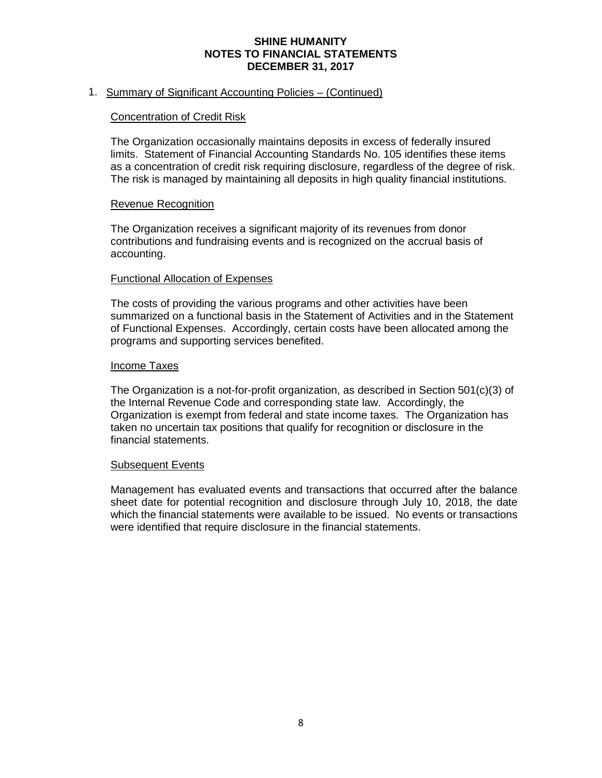## **SHINE HUMANITY NOTES TO FINANCIAL STATEMENTS DECEMBER 31, 2017**

## 1. Summary of Significant Accounting Policies – (Continued)

### Concentration of Credit Risk

The Organization occasionally maintains deposits in excess of federally insured limits. Statement of Financial Accounting Standards No. 105 identifies these items as a concentration of credit risk requiring disclosure, regardless of the degree of risk. The risk is managed by maintaining all deposits in high quality financial institutions.

#### Revenue Recognition

The Organization receives a significant majority of its revenues from donor contributions and fundraising events and is recognized on the accrual basis of accounting.

#### Functional Allocation of Expenses

The costs of providing the various programs and other activities have been summarized on a functional basis in the Statement of Activities and in the Statement of Functional Expenses. Accordingly, certain costs have been allocated among the programs and supporting services benefited.

#### Income Taxes

The Organization is a not-for-profit organization, as described in Section 501(c)(3) of the Internal Revenue Code and corresponding state law. Accordingly, the Organization is exempt from federal and state income taxes. The Organization has taken no uncertain tax positions that qualify for recognition or disclosure in the financial statements.

#### Subsequent Events

Management has evaluated events and transactions that occurred after the balance sheet date for potential recognition and disclosure through July 10, 2018, the date which the financial statements were available to be issued. No events or transactions were identified that require disclosure in the financial statements.